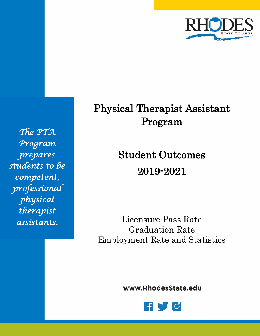

*The PTA Program prepares students to be competent, professional physical therapist assistants.* 

# Physical Therapist Assistant Program

Student Outcomes 2019-2021

Licensure Pass Rate Graduation Rate Employment Rate and Statistics

www.RhodesState.edu

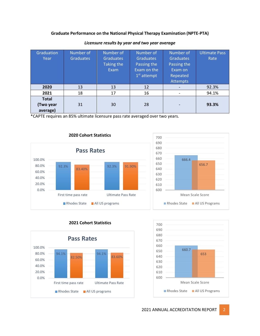#### **Graduate Performance on the National Physical Therapy Examination (NPTE-PTA)**

| Graduation   | Number of        | Number of         | Number of        | Number of        | <b>Ultimate Pass</b> |
|--------------|------------------|-------------------|------------------|------------------|----------------------|
| Year         | <b>Graduates</b> | <b>Graduates</b>  | <b>Graduates</b> | <b>Graduates</b> | Rate                 |
|              |                  | <b>Taking the</b> | Passing the      | Passing the      |                      |
|              |                  | Exam              | Exam on the      | Exam on          |                      |
|              |                  |                   | $1st$ attempt    | Repeated         |                      |
|              |                  |                   |                  | <b>Attempts</b>  |                      |
| 2020         | 13               | 13                | 12               |                  | 92.3%                |
| 2021         | 18               | 17                | 16               |                  | 94.1%                |
| <b>Total</b> |                  |                   |                  |                  |                      |
| (Two year    | 31               | 30                | 28               |                  | 93.3%                |
| average)     |                  |                   |                  |                  |                      |

#### *Licensure results by year and two year average*

\*CAPTE requires an 85% ultimate licensure pass rate averaged over two years.







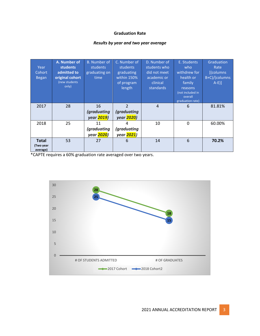## **Graduation Rate**

# *Results by year and two year average*

| Year<br>Cohort<br><b>Began</b>        | A. Number of<br><b>students</b><br>admitted to<br>original cohort<br>(new students<br>only) | <b>B.</b> Number of<br>students<br>graduating on<br>time | C. Number of<br>students<br>graduating<br>within 150%<br>of program<br>length | D. Number of<br>students who<br>did not meet<br>academic or<br>clinical<br><b>standards</b> | E. Students<br>who<br>withdrew for<br>health or<br>family<br>reasons<br>(not included in<br>overall<br>graduation rate) | Graduation<br>Rate<br>[(columns<br>B+C)/(columns<br>$A-E$ ] |
|---------------------------------------|---------------------------------------------------------------------------------------------|----------------------------------------------------------|-------------------------------------------------------------------------------|---------------------------------------------------------------------------------------------|-------------------------------------------------------------------------------------------------------------------------|-------------------------------------------------------------|
| 2017                                  | 28                                                                                          | 16<br><i>(graduating</i><br>year 2019)                   | $\overline{\mathcal{L}}$<br><i>(graduating</i><br>year 2020)                  | $\overline{4}$                                                                              | 6                                                                                                                       | 81.81%                                                      |
| 2018                                  | 25                                                                                          | 11<br><i>(graduating</i><br>year <mark>2020</mark> )     | 4<br><i>(graduating</i><br>year 2021)                                         | 10                                                                                          | 0                                                                                                                       | 60.00%                                                      |
| <b>Total</b><br>(Two year<br>average) | 53                                                                                          | 27                                                       | 6                                                                             | 14                                                                                          | 6                                                                                                                       | 70.2%                                                       |

\*CAPTE requires a 60% graduation rate averaged over two years.